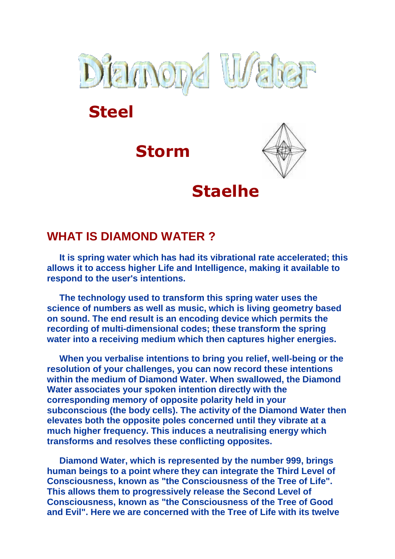

**Steel**





# **Staelhe**

### **WHAT IS DIAMOND WATER ?**

 **It is spring water which has had its vibrational rate accelerated; this allows it to access higher Life and Intelligence, making it available to respond to the user's intentions.**

 **The technology used to transform this spring water uses the science of numbers as well as music, which is living geometry based on sound. The end result is an encoding device which permits the recording of multi-dimensional codes; these transform the spring water into a receiving medium which then captures higher energies.**

 **When you verbalise intentions to bring you relief, well-being or the resolution of your challenges, you can now record these intentions within the medium of Diamond Water. When swallowed, the Diamond Water associates your spoken intention directly with the corresponding memory of opposite polarity held in your subconscious (the body cells). The activity of the Diamond Water then elevates both the opposite poles concerned until they vibrate at a much higher frequency. This induces a neutralising energy which transforms and resolves these conflicting opposites.**

 **Diamond Water, which is represented by the number 999, brings human beings to a point where they can integrate the Third Level of Consciousness, known as "the Consciousness of the Tree of Life". This allows them to progressively release the Second Level of Consciousness, known as "the Consciousness of the Tree of Good and Evil". Here we are concerned with the Tree of Life with its twelve**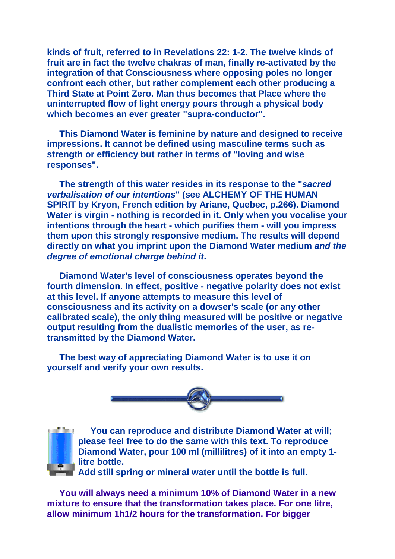**kinds of fruit, referred to in Revelations 22: 1-2. The twelve kinds of fruit are in fact the twelve chakras of man, finally re-activated by the integration of that Consciousness where opposing poles no longer confront each other, but rather complement each other producing a Third State at Point Zero. Man thus becomes that Place where the uninterrupted flow of light energy pours through a physical body which becomes an ever greater "supra-conductor".**

 **This Diamond Water is feminine by nature and designed to receive impressions. It cannot be defined using masculine terms such as strength or efficiency but rather in terms of "loving and wise responses".** 

 **The strength of this water resides in its response to the "sacred verbalisation of our intentions" (see ALCHEMY OF THE HUMAN SPIRIT by Kryon, French edition by Ariane, Quebec, p.266). Diamond Water is virgin - nothing is recorded in it. Only when you vocalise your intentions through the heart - which purifies them - will you impress them upon this strongly responsive medium. The results will depend directly on what you imprint upon the Diamond Water medium and the degree of emotional charge behind it.**

 **Diamond Water's level of consciousness operates beyond the fourth dimension. In effect, positive - negative polarity does not exist at this level. If anyone attempts to measure this level of consciousness and its activity on a dowser's scale (or any other calibrated scale), the only thing measured will be positive or negative output resulting from the dualistic memories of the user, as retransmitted by the Diamond Water.**

 **The best way of appreciating Diamond Water is to use it on yourself and verify your own results.**





 **You can reproduce and distribute Diamond Water at will; please feel free to do the same with this text. To reproduce Diamond Water, pour 100 ml (millilitres) of it into an empty 1 litre bottle.** 

**Add still spring or mineral water until the bottle is full.** 

 **You will always need a minimum 10% of Diamond Water in a new mixture to ensure that the transformation takes place. For one litre, allow minimum 1h1/2 hours for the transformation. For bigger**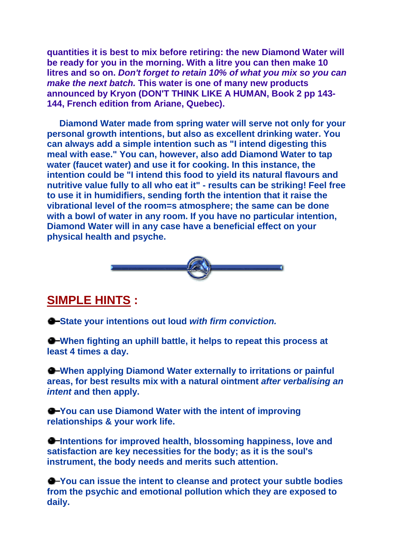**quantities it is best to mix before retiring: the new Diamond Water will be ready for you in the morning. With a litre you can then make 10 litres and so on. Don't forget to retain 10% of what you mix so you can make the next batch. This water is one of many new products announced by Kryon (DON'T THINK LIKE A HUMAN, Book 2 pp 143- 144, French edition from Ariane, Quebec).**

 **Diamond Water made from spring water will serve not only for your personal growth intentions, but also as excellent drinking water. You can always add a simple intention such as "I intend digesting this meal with ease." You can, however, also add Diamond Water to tap water (faucet water) and use it for cooking. In this instance, the intention could be "I intend this food to yield its natural flavours and nutritive value fully to all who eat it" - results can be striking! Feel free to use it in humidifiers, sending forth the intention that it raise the vibrational level of the room=s atmosphere; the same can be done with a bowl of water in any room. If you have no particular intention, Diamond Water will in any case have a beneficial effect on your physical health and psyche.**



#### **SIMPLE HINTS :**

**State your intentions out loud with firm conviction.**

**When fighting an uphill battle, it helps to repeat this process at least 4 times a day.**

**When applying Diamond Water externally to irritations or painful areas, for best results mix with a natural ointment after verbalising an intent and then apply.**

**You can use Diamond Water with the intent of improving relationships & your work life.**

**Intentions for improved health, blossoming happiness, love and satisfaction are key necessities for the body; as it is the soul's instrument, the body needs and merits such attention.**

**You can issue the intent to cleanse and protect your subtle bodies from the psychic and emotional pollution which they are exposed to daily.**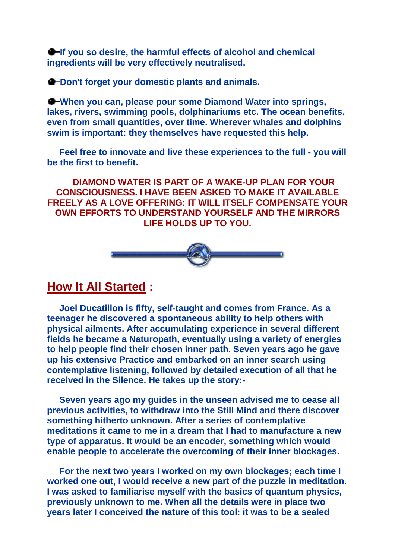**If you so desire, the harmful effects of alcohol and chemical ingredients will be very effectively neutralised.**

 $\bullet$  Don't forget your domestic plants and animals.

**When you can, please pour some Diamond Water into springs, lakes, rivers, swimming pools, dolphinariums etc. The ocean benefits, even from small quantities, over time. Wherever whales and dolphins swim is important: they themselves have requested this help.**

 **Feel free to innovate and live these experiences to the full - you will be the first to benefit.**

 **DIAMOND WATER IS PART OF A WAKE-UP PLAN FOR YOUR CONSCIOUSNESS. I HAVE BEEN ASKED TO MAKE IT AVAILABLE FREELY AS A LOVE OFFERING: IT WILL ITSELF COMPENSATE YOUR OWN EFFORTS TO UNDERSTAND YOURSELF AND THE MIRRORS LIFE HOLDS UP TO YOU.**



#### **How It All Started :**

 **Joel Ducatillon is fifty, self-taught and comes from France. As a teenager he discovered a spontaneous ability to help others with physical ailments. After accumulating experience in several different fields he became a Naturopath, eventually using a variety of energies to help people find their chosen inner path. Seven years ago he gave up his extensive Practice and embarked on an inner search using contemplative listening, followed by detailed execution of all that he received in the Silence. He takes up the story:-**

 **Seven years ago my guides in the unseen advised me to cease all previous activities, to withdraw into the Still Mind and there discover something hitherto unknown. After a series of contemplative meditations it came to me in a dream that I had to manufacture a new type of apparatus. It would be an encoder, something which would enable people to accelerate the overcoming of their inner blockages.**

 **For the next two years I worked on my own blockages; each time I worked one out, I would receive a new part of the puzzle in meditation. I was asked to familiarise myself with the basics of quantum physics, previously unknown to me. When all the details were in place two years later I conceived the nature of this tool: it was to be a sealed**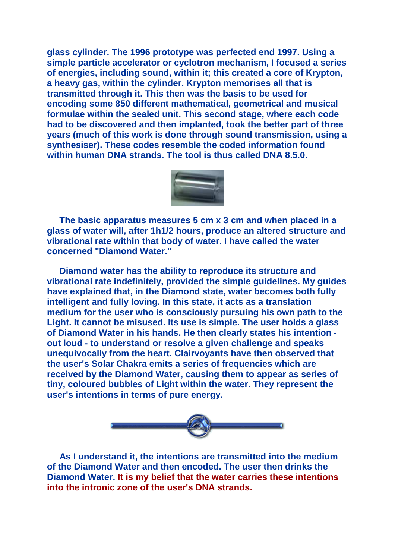**glass cylinder. The 1996 prototype was perfected end 1997. Using a simple particle accelerator or cyclotron mechanism, I focused a series of energies, including sound, within it; this created a core of Krypton, a heavy gas, within the cylinder. Krypton memorises all that is transmitted through it. This then was the basis to be used for encoding some 850 different mathematical, geometrical and musical formulae within the sealed unit. This second stage, where each code had to be discovered and then implanted, took the better part of three years (much of this work is done through sound transmission, using a synthesiser). These codes resemble the coded information found within human DNA strands. The tool is thus called DNA 8.5.0.** 



 **The basic apparatus measures 5 cm x 3 cm and when placed in a glass of water will, after 1h1/2 hours, produce an altered structure and vibrational rate within that body of water. I have called the water concerned "Diamond Water."**

 **Diamond water has the ability to reproduce its structure and vibrational rate indefinitely, provided the simple guidelines. My guides have explained that, in the Diamond state, water becomes both fully intelligent and fully loving. In this state, it acts as a translation medium for the user who is consciously pursuing his own path to the Light. It cannot be misused. Its use is simple. The user holds a glass of Diamond Water in his hands. He then clearly states his intention out loud - to understand or resolve a given challenge and speaks unequivocally from the heart. Clairvoyants have then observed that the user's Solar Chakra emits a series of frequencies which are received by the Diamond Water, causing them to appear as series of tiny, coloured bubbles of Light within the water. They represent the user's intentions in terms of pure energy.**



 **As I understand it, the intentions are transmitted into the medium of the Diamond Water and then encoded. The user then drinks the Diamond Water. It is my belief that the water carries these intentions into the intronic zone of the user's DNA strands.**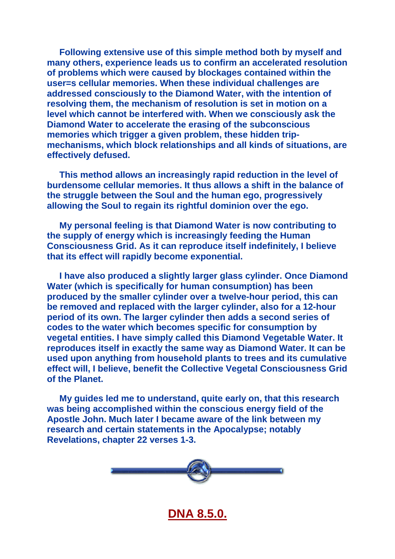**Following extensive use of this simple method both by myself and many others, experience leads us to confirm an accelerated resolution of problems which were caused by blockages contained within the user=s cellular memories. When these individual challenges are addressed consciously to the Diamond Water, with the intention of resolving them, the mechanism of resolution is set in motion on a level which cannot be interfered with. When we consciously ask the Diamond Water to accelerate the erasing of the subconscious memories which trigger a given problem, these hidden tripmechanisms, which block relationships and all kinds of situations, are effectively defused.**

 **This method allows an increasingly rapid reduction in the level of burdensome cellular memories. It thus allows a shift in the balance of the struggle between the Soul and the human ego, progressively allowing the Soul to regain its rightful dominion over the ego.**

 **My personal feeling is that Diamond Water is now contributing to the supply of energy which is increasingly feeding the Human Consciousness Grid. As it can reproduce itself indefinitely, I believe that its effect will rapidly become exponential.**

 **I have also produced a slightly larger glass cylinder. Once Diamond Water (which is specifically for human consumption) has been produced by the smaller cylinder over a twelve-hour period, this can be removed and replaced with the larger cylinder, also for a 12-hour period of its own. The larger cylinder then adds a second series of codes to the water which becomes specific for consumption by vegetal entities. I have simply called this Diamond Vegetable Water. It reproduces itself in exactly the same way as Diamond Water. It can be used upon anything from household plants to trees and its cumulative effect will, I believe, benefit the Collective Vegetal Consciousness Grid of the Planet.**

 **My guides led me to understand, quite early on, that this research was being accomplished within the conscious energy field of the Apostle John. Much later I became aware of the link between my research and certain statements in the Apocalypse; notably Revelations, chapter 22 verses 1-3.**



#### **DNA 8.5.0.**